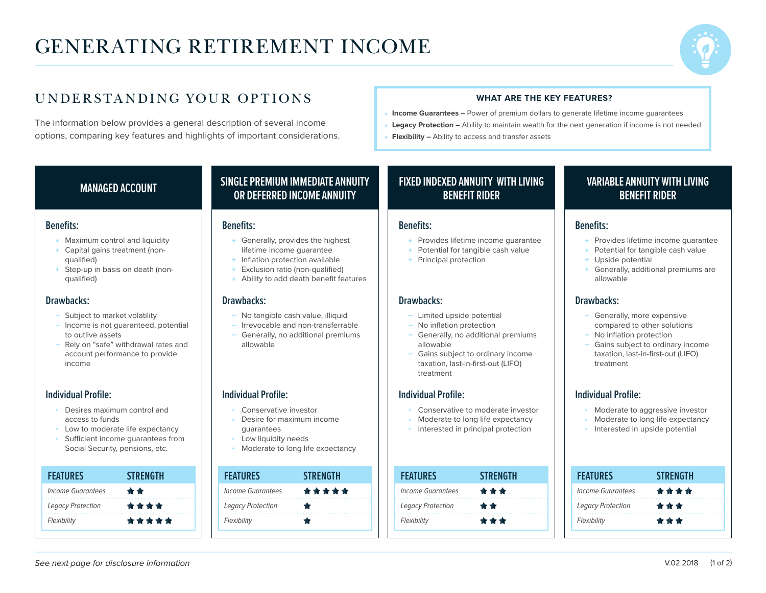# GENERATING RETIREMENT INCOME



## UNDERSTANDING YOUR OPTIONS

The information below provides a general description of several income options, comparing key features and highlights of important considerations.

### **WHAT ARE THE KEY FEATURES?**

- **Income Guarantees –** Power of premium dollars to generate lifetime income guarantees
- **Legacy Protection –** Ability to maintain wealth for the next generation if income is not needed
- **Flexibility –** Ability to access and transfer assets

- + Maximum control and liquidity
- + Capital gains treatment (nonqualified)
- Step-up in basis on death (nonqualified)

- Subject to market volatility
- Income is not guaranteed, potential to outlive assets
- Rely on "safe" withdrawal rates and account performance to provide income

- Desires maximum control and access to funds
- Low to moderate life expectancy • Sufficient income guarantees from
- Social Security, pensions, etc.

| <b>FEATURES</b>          | <b>STRENGTH</b> |
|--------------------------|-----------------|
| Income Guarantees        | $+ +$           |
| <b>Legacy Protection</b> | ****            |
| Flexibility              | *****           |

### **MANAGED ACCOUNT SINGLE PREMIUM IMMEDIATE ANNUITY OR DEFERRED INCOME ANNUITY**

- Generally, provides the highest lifetime income guarantee
- + Inflation protection available
- + Exclusion ratio (non-qualified)
- + Ability to add death benefit features

### **Drawbacks: Drawbacks: Drawbacks: Drawbacks:**

- No tangible cash value, illiquid
- Irrevocable and non-transferrable
- Generally, no additional premiums allowable

### **Individual Profile: Individual Profile: Individual Profile: Individual Profile:**

- Conservative investor
- Desire for maximum income guarantees
- Low liquidity needs
- Moderate to long life expectancy

| <b>FEATURES</b>   | TRENGTH | <b>FEATURES</b>          | STRENGTH | <b>FEATURES</b>          | STRENGTH | <b>FEATURES</b>          | STRENGTH |
|-------------------|---------|--------------------------|----------|--------------------------|----------|--------------------------|----------|
| Income Guarantees |         | <b>Income Guarantees</b> | *****    | <b>Income Guarantees</b> | ***      | <b>Income Guarantees</b> | ****     |
| Legacy Protection | ****    | <b>Legacy Protection</b> |          | <b>Legacy Protection</b> |          | <b>Legacy Protection</b> | ***      |
| Flexibility       | *****   | Flexibility              |          | Flexibility              | <b>.</b> | Flexibility              | <b>.</b> |
|                   |         |                          |          |                          |          |                          |          |

### **FIXED INDEXED ANNUITY WITH LIVING BENEFIT RIDER**

### **Benefits: Benefits: Benefits: Benefits:**

- Provides lifetime income quarantee
- + Potential for tangible cash value
- Principal protection

- Limited upside potential
- No inflation protection
- Generally, no additional premiums allowable
- Gains subject to ordinary income taxation, last-in-first-out (LIFO) treatment

- Conservative to moderate investor
- Moderate to long life expectancy
- Interested in principal protection

| <b>FEATURES</b>          | <b>STRENGTH</b> |
|--------------------------|-----------------|
| Income Guarantees        | ***             |
| <b>Legacy Protection</b> | **              |
| Flexibility              | ***             |

### **VARIABLE ANNUITY WITH LIVING BENEFIT RIDER**

- + Provides lifetime income guarantee
- + Potential for tangible cash value
- + Upside potential
- + Generally, additional premiums are allowable

- Generally, more expensive compared to other solutions
- No inflation protection
- Gains subject to ordinary income taxation, last-in-first-out (LIFO) treatment

- Moderate to aggressive investor
- Moderate to long life expectancy
- Interested in upside potential

| <b>FEATURES</b>          | <b>STRENGTH</b> |
|--------------------------|-----------------|
| Income Guarantees        | ****            |
| <b>Legacy Protection</b> | ***             |
| Flexibility              | ***             |